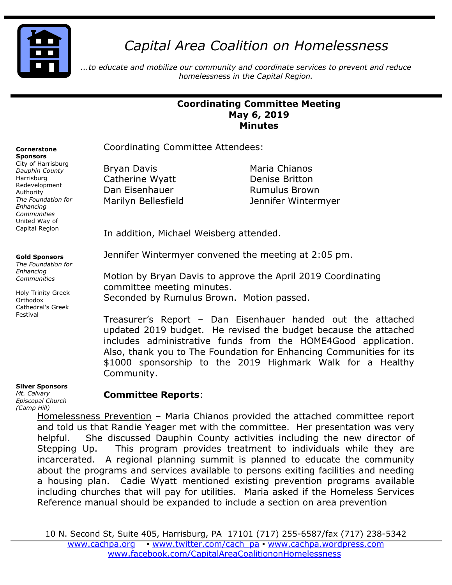

# *Capital Area Coalition on Homelessness*

*...to educate and mobilize our community and coordinate services to prevent and reduce homelessness in the Capital Region.*

## **Coordinating Committee Meeting May 6, 2019 Minutes**

Coordinating Committee Attendees:

Bryan Davis **Maria Chianos** Catherine Wyatt **Denise Britton** Dan Eisenhauer **Rumulus Brown** 

Marilyn Bellesfield Jennifer Wintermyer

In addition, Michael Weisberg attended.

Jennifer Wintermyer convened the meeting at 2:05 pm.

Motion by Bryan Davis to approve the April 2019 Coordinating committee meeting minutes.

Seconded by Rumulus Brown. Motion passed.

Treasurer's Report – Dan Eisenhauer handed out the attached updated 2019 budget. He revised the budget because the attached includes administrative funds from the HOME4Good application. Also, thank you to The Foundation for Enhancing Communities for its \$1000 sponsorship to the 2019 Highmark Walk for a Healthy Community.

#### **Silver Sponsors**

*Mt. Calvary Episcopal Church (Camp Hill)*

## **Committee Reports**:

Homelessness Prevention – Maria Chianos provided the attached committee report and told us that Randie Yeager met with the committee. Her presentation was very helpful. She discussed Dauphin County activities including the new director of Stepping Up. This program provides treatment to individuals while they are incarcerated. A regional planning summit is planned to educate the community about the programs and services available to persons exiting facilities and needing a housing plan. Cadie Wyatt mentioned existing prevention programs available including churches that will pay for utilities. Maria asked if the Homeless Services Reference manual should be expanded to include a section on area prevention

**Cornerstone Sponsors** 

City of Harrisburg *Dauphin County* Harrisburg Redevelopment Authority *The Foundation for Enhancing Communities* United Way of Capital Region

### **Gold Sponsors**

*The Foundation for Enhancing Communities*

Holy Trinity Greek **Orthodox** Cathedral's Greek Festival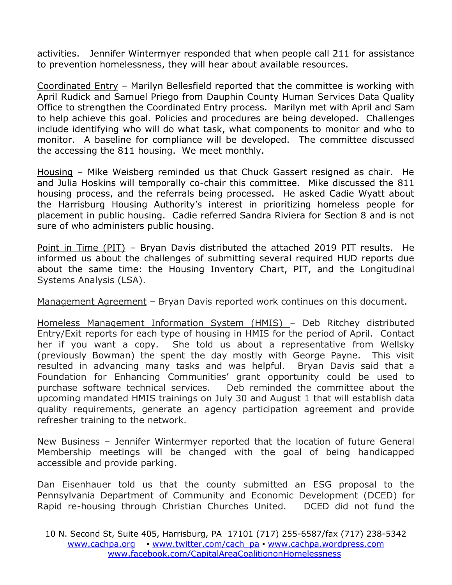activities. Jennifer Wintermyer responded that when people call 211 for assistance to prevention homelessness, they will hear about available resources.

Coordinated Entry – Marilyn Bellesfield reported that the committee is working with April Rudick and Samuel Priego from Dauphin County Human Services Data Quality Office to strengthen the Coordinated Entry process. Marilyn met with April and Sam to help achieve this goal. Policies and procedures are being developed. Challenges include identifying who will do what task, what components to monitor and who to monitor. A baseline for compliance will be developed. The committee discussed the accessing the 811 housing. We meet monthly.

Housing – Mike Weisberg reminded us that Chuck Gassert resigned as chair. He and Julia Hoskins will temporally co-chair this committee. Mike discussed the 811 housing process, and the referrals being processed. He asked Cadie Wyatt about the Harrisburg Housing Authority's interest in prioritizing homeless people for placement in public housing. Cadie referred Sandra Riviera for Section 8 and is not sure of who administers public housing.

Point in Time (PIT) – Bryan Davis distributed the attached 2019 PIT results. He informed us about the challenges of submitting several required HUD reports due about the same time: the Housing Inventory Chart, PIT, and the Longitudinal Systems Analysis (LSA).

Management Agreement – Bryan Davis reported work continues on this document.

Homeless Management Information System (HMIS) – Deb Ritchey distributed Entry/Exit reports for each type of housing in HMIS for the period of April. Contact her if you want a copy. She told us about a representative from Wellsky (previously Bowman) the spent the day mostly with George Payne. This visit resulted in advancing many tasks and was helpful. Bryan Davis said that a Foundation for Enhancing Communities' grant opportunity could be used to purchase software technical services. Deb reminded the committee about the upcoming mandated HMIS trainings on July 30 and August 1 that will establish data quality requirements, generate an agency participation agreement and provide refresher training to the network.

New Business – Jennifer Wintermyer reported that the location of future General Membership meetings will be changed with the goal of being handicapped accessible and provide parking.

Dan Eisenhauer told us that the county submitted an ESG proposal to the Pennsylvania Department of Community and Economic Development (DCED) for Rapid re-housing through Christian Churches United. DCED did not fund the

<sup>10</sup> N. Second St, Suite 405, Harrisburg, PA 17101 (717) 255-6587/fax (717) 238-5342 [www.cachpa.org](http://www.cachpa.org/) • [www.twitter.com/cach\\_pa](http://www.twitter.com/cach_pa) • [www.cachpa.wordpress.com](http://www.cachpa.wordpress.com/) [www.facebook.com/CapitalAreaCoalitiononHomelessness](http://www.facebook.com/CapitalAreaCoalitiononHomelessness)